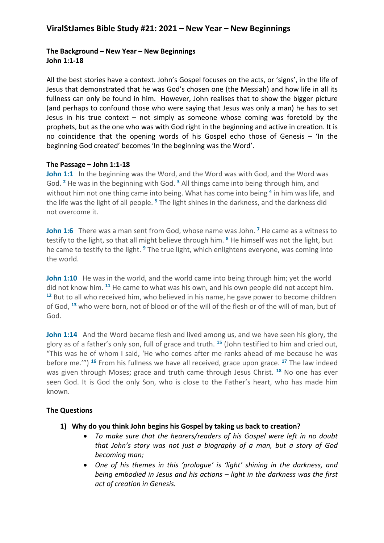# **ViralStJames Bible Study #21: 2021 – New Year – New Beginnings**

# **The Background – New Year – New Beginnings John 1:1-18**

All the best stories have a context. John's Gospel focuses on the acts, or 'signs', in the life of Jesus that demonstrated that he was God's chosen one (the Messiah) and how life in all its fullness can only be found in him. However, John realises that to show the bigger picture (and perhaps to confound those who were saying that Jesus was only a man) he has to set Jesus in his true context  $-$  not simply as someone whose coming was foretold by the prophets, but as the one who was with God right in the beginning and active in creation. It is no coincidence that the opening words of his Gospel echo those of Genesis – 'In the beginning God created' becomes 'In the beginning was the Word'.

#### **The Passage – John 1:1-18**

**John 1:1** In the beginning was the Word, and the Word was with God, and the Word was God. **<sup>2</sup>** He was in the beginning with God. **<sup>3</sup>** All things came into being through him, and without him not one thing came into being. What has come into being **<sup>4</sup>** in him was life, and the life was the light of all people. **<sup>5</sup>** The light shines in the darkness, and the darkness did not overcome it.

**John 1:6** There was a man sent from God, whose name was John. **<sup>7</sup>** He came as a witness to testify to the light, so that all might believe through him. **<sup>8</sup>** He himself was not the light, but he came to testify to the light. **<sup>9</sup>** The true light, which enlightens everyone, was coming into the world.

**John 1:10** He was in the world, and the world came into being through him; yet the world did not know him. **<sup>11</sup>** He came to what was his own, and his own people did not accept him. **<sup>12</sup>** But to all who received him, who believed in his name, he gave power to become children of God, **<sup>13</sup>** who were born, not of blood or of the will of the flesh or of the will of man, but of God.

**John 1:14** And the Word became flesh and lived among us, and we have seen his glory, the glory as of a father's only son, full of grace and truth. **<sup>15</sup>** (John testified to him and cried out, "This was he of whom I said, 'He who comes after me ranks ahead of me because he was before me.'") **<sup>16</sup>** From his fullness we have all received, grace upon grace. **<sup>17</sup>** The law indeed was given through Moses; grace and truth came through Jesus Christ. **<sup>18</sup>** No one has ever seen God. It is God the only Son, who is close to the Father's heart, who has made him known.

# **The Questions**

- **1) Why do you think John begins his Gospel by taking us back to creation?**
	- *To make sure that the hearers/readers of his Gospel were left in no doubt that John's story was not just a biography of a man, but a story of God becoming man;*
	- *One of his themes in this 'prologue' is 'light' shining in the darkness, and being embodied in Jesus and his actions – light in the darkness was the first act of creation in Genesis.*